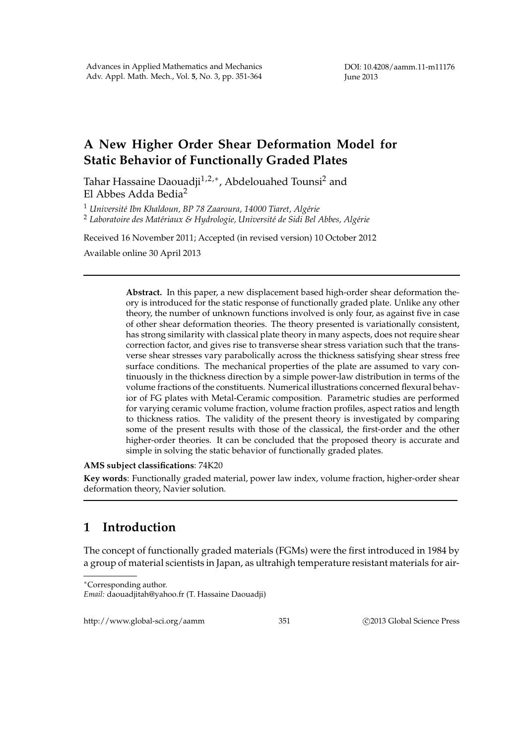## **A New Higher Order Shear Deformation Model for Static Behavior of Functionally Graded Plates**

Tahar Hassaine Daouadji<sup>1,2,∗</sup>, Abdelouahed Tounsi<sup>2</sup> and El Abbes Adda Bedia<sup>2</sup>

<sup>1</sup> *Universit´e Ibn Khaldoun, BP 78 Zaaroura, 14000 Tiaret, Alg´erie*

<sup>2</sup> Laboratoire des Matériaux & Hydrologie, Université de Sidi Bel Abbes, Algérie

Received 16 November 2011; Accepted (in revised version) 10 October 2012

Available online 30 April 2013

**Abstract.** In this paper, a new displacement based high-order shear deformation theory is introduced for the static response of functionally graded plate. Unlike any other theory, the number of unknown functions involved is only four, as against five in case of other shear deformation theories. The theory presented is variationally consistent, has strong similarity with classical plate theory in many aspects, does not require shear correction factor, and gives rise to transverse shear stress variation such that the transverse shear stresses vary parabolically across the thickness satisfying shear stress free surface conditions. The mechanical properties of the plate are assumed to vary continuously in the thickness direction by a simple power-law distribution in terms of the volume fractions of the constituents. Numerical illustrations concerned flexural behavior of FG plates with Metal-Ceramic composition. Parametric studies are performed for varying ceramic volume fraction, volume fraction profiles, aspect ratios and length to thickness ratios. The validity of the present theory is investigated by comparing some of the present results with those of the classical, the first-order and the other higher-order theories. It can be concluded that the proposed theory is accurate and simple in solving the static behavior of functionally graded plates.

## **AMS subject classifications**: 74K20

**Key words**: Functionally graded material, power law index, volume fraction, higher-order shear deformation theory, Navier solution.

## **1 Introduction**

The concept of functionally graded materials (FGMs) were the first introduced in 1984 by a group of material scientists in Japan, as ultrahigh temperature resistant materials for air-

http://www.global-sci.org/aamm 351 ©2013 Global Science Press

<sup>∗</sup>Corresponding author.

*Email:* daouadjitah@yahoo.fr (T. Hassaine Daouadji)